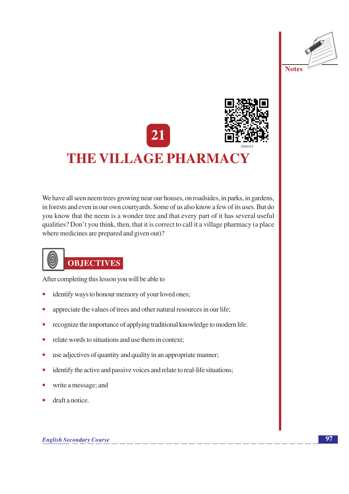



We have all seen neem trees growing near our houses, on roadsides, in parks, in gardens, in forests and even in our own courtyards. Some of us also know a few of its uses. But do you know that the neem is a wonder tree and that every part of it has several useful qualities? Don't you think, then, that it is correct to call it a village pharmacy (a place where medicines are prepared and given out)?

## **OBJECTIVES**

After completing this lesson you will be able to

- identify ways to honour memory of your loved ones;  $\bullet$
- appreciate the values of trees and other natural resources in our life;
- recognize the importance of applying traditional knowledge to modern life.
- relate words to situations and use them in context:
- use adjectives of quantity and quality in an appropriate manner;  $\bullet$
- identify the active and passive voices and relate to real-life situations;  $\bullet$
- write a message; and
- draft a notice.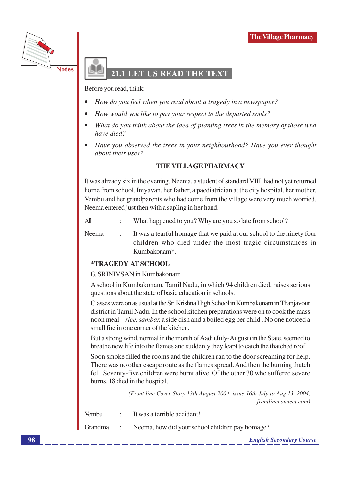

### LET US READ THE TEXT

Before you read, think:

- How do you feel when you read about a tragedy in a newspaper?
- How would you like to pay your respect to the departed souls?
- What do you think about the idea of planting trees in the memory of those who have died?
- Have you observed the trees in your neighbourhood? Have you ever thought about their uses?

#### **THE VILLAGE PHARMACY**

It was already six in the evening. Neema, a student of standard VIII, had not yet returned home from school. Iniyavan, her father, a paediatrician at the city hospital, her mother, Vembu and her grandparents who had come from the village were very much worried. Neema entered just then with a sapling in her hand.

 $All$ What happened to you? Why are you so late from school?

Neema It was a tearful homage that we paid at our school to the ninety four children who died under the most tragic circumstances in Kumbakonam\*.

#### \*TRAGEDY AT SCHOOL

G. SRINIVSAN in Kumbakonam

A school in Kumbakonam, Tamil Nadu, in which 94 children died, raises serious questions about the state of basic education in schools.

Classes were on as usual at the Sri Krishna High School in Kumbakonam in Thanjavour district in Tamil Nadu. In the school kitchen preparations were on to cook the mass noon meal – *rice*, *sambar*, a side dish and a boiled egg per child. No one noticed a small fire in one corner of the kitchen.

But a strong wind, normal in the month of Aadi (July-August) in the State, seemed to breathe new life into the flames and suddenly they leapt to catch the thatched roof.

Soon smoke filled the rooms and the children ran to the door screaming for help. There was no other escape route as the flames spread. And then the burning thatch fell. Seventy-five children were burnt alive. Of the other 30 who suffered severe burns, 18 died in the hospital.

> (Front line Cover Story 13th August 2004, issue 16th July to Aug 13, 2004, frontlineconnect.com)

| Vembu | $\therefore$ It was a terrible accident!                  |
|-------|-----------------------------------------------------------|
|       | Grandma : Neema, how did your school children pay homage? |
|       | <b>English Secondary Course</b>                           |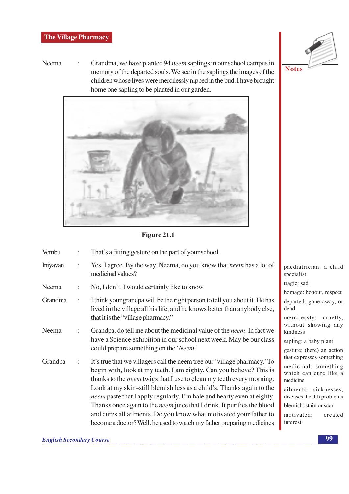Neema Grandma, we have planted 94 neem saplings in our school campus in  $\ddot{\cdot}$ memory of the departed souls. We see in the saplings the images of the children whose lives were mercilessly nipped in the bud. I have brought home one sapling to be planted in our garden.



Figure 21.1

| Vembu    |                | That's a fitting gesture on the part of your school.                                                                                                                                                                                                                                                                                                                                                                                                                                                                                                                                                              |                                                                                                                                                  |  |
|----------|----------------|-------------------------------------------------------------------------------------------------------------------------------------------------------------------------------------------------------------------------------------------------------------------------------------------------------------------------------------------------------------------------------------------------------------------------------------------------------------------------------------------------------------------------------------------------------------------------------------------------------------------|--------------------------------------------------------------------------------------------------------------------------------------------------|--|
| Iniyavan | $\ddot{\cdot}$ | Yes, I agree. By the way, Neema, do you know that <i>neem</i> has a lot of<br>medicinal values?                                                                                                                                                                                                                                                                                                                                                                                                                                                                                                                   | paediatrician<br>specialist                                                                                                                      |  |
| Neema    | $\ddot{\cdot}$ | No, I don't. I would certainly like to know.                                                                                                                                                                                                                                                                                                                                                                                                                                                                                                                                                                      | tragic: sad<br>homage: honou                                                                                                                     |  |
| Grandma  | $\ddot{\cdot}$ | I think your grandpa will be the right person to tell you about it. He has<br>lived in the village all his life, and he knows better than anybody else,<br>that it is the "village pharmacy."                                                                                                                                                                                                                                                                                                                                                                                                                     | departed: gone<br>dead<br>mercilessly:                                                                                                           |  |
| Neema    |                | Grandpa, do tell me about the medicinal value of the <i>neem</i> . In fact we<br>have a Science exhibition in our school next week. May be our class<br>could prepare something on the 'Neem.'                                                                                                                                                                                                                                                                                                                                                                                                                    | without shov<br>kindness<br>sapling: a baby<br>gesture: (here)                                                                                   |  |
| Grandpa  | :              | It's true that we villagers call the neem tree our 'village pharmacy.' To<br>begin with, look at my teeth. I am eighty. Can you believe? This is<br>thanks to the <i>neem</i> twigs that I use to clean my teeth every morning.<br>Look at my skin-still blemish less as a child's. Thanks again to the<br>neem paste that I apply regularly. I'm hale and hearty even at eighty.<br>Thanks once again to the <i>neem</i> juice that I drink. It purifies the blood<br>and cures all ailments. Do you know what motivated your father to<br>become a doctor? Well, he used to watch my father preparing medicines | that expresses a<br>medicinal: so<br>which can cu<br>medicine<br>ailments: sic<br>diseases, health<br>blemish: stain o<br>motivated:<br>interest |  |

: a child

ur, respect

away, or

cruelly, wing any

plant

an action something

omething ire like a

cknesses, problems

or scar

created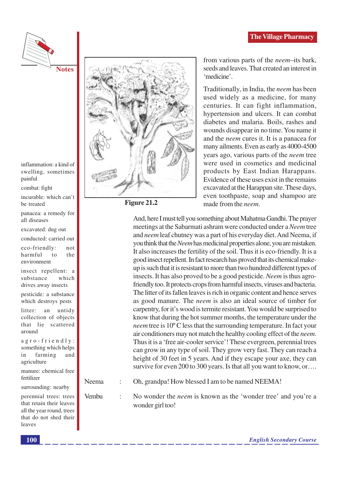

inflammation: a kind of swelling, sometimes painful

combat: fight

incurable: which can't be treated

panacea: a remedy for all diseases

excavated: dug out

conducted: carried out

eco-friendly:  $not$ harmful the  $\overline{f}$ environment

insect repellent: a substance which drives away insects

pesticide: a substance which destroys pests

litter: an untidy collection of objects that lie scattered around

 $a$ gro-friendly: something which helps farming in and agriculture

manure: chemical free fertilizer

surrounding: nearby

perennial trees: trees that retain their leaves all the year round, trees that do not shed their leaves



Figure 21.2

from various parts of the *neem*-its bark, seeds and leaves. That created an interest in 'medicine'.

Traditionally, in India, the *neem* has been used widely as a medicine, for many centuries. It can fight inflammation, hypertension and ulcers. It can combat diabetes and malaria. Boils, rashes and wounds disappear in no time. You name it and the *neem* cures it. It is a panacea for many ailments. Even as early as 4000-4500 vears ago, various parts of the *neem* tree were used in cosmetics and medicinal products by East Indian Harappans. Evidence of these uses exist in the remains excavated at the Harappan site. These days, even toothpaste, soap and shampoo are made from the *neem*.

And, here I must tell you something about Mahatma Gandhi. The prayer meetings at the Sabarmati ashram were conducted under a Neem tree and neem leaf chutney was a part of his everyday diet. And Neema, if you think that the *Neem* has medicinal properties alone, you are mistaken. It also increases the fertility of the soil. Thus it is eco-friendly. It is a good insect repellent. In fact research has proved that its chemical makeup is such that it is resistant to more than two hundred different types of insects. It has also proved to be a good pesticide. *Neem* is thus agrofriendly too. It protects crops from harmful insects, viruses and bacteria. The litter of its fallen leaves is rich in organic content and hence serves as good manure. The *neem* is also an ideal source of timber for carpentry, for it's wood is termite resistant. You would be surprised to know that during the hot summer months, the temperature under the *neem* tree is 10°C less that the surrounding temperature. In fact your air conditioners may not match the healthy cooling effect of the *neem*. Thus it is a 'free air-cooler service'! These evergreen, perennial trees can grow in any type of soil. They grow very fast. They can reach a height of 30 feet in 5 years. And if they escape your axe, they can survive for even 200 to 300 years. Is that all you want to know, or...

Neema Oh, grandpa! How blessed I am to be named NEEMA!

Vembu

 $\ddot{\cdot}$ 

No wonder the *neem* is known as the 'wonder tree' and you're a wonder girl too!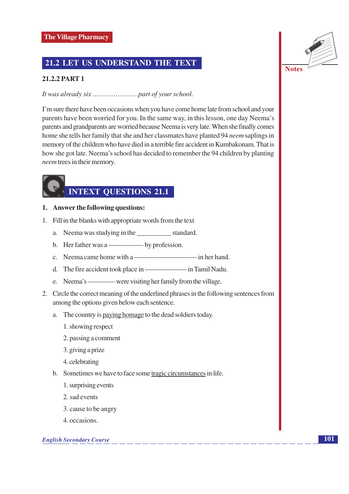#### 21.2 LET US UNDERSTAND THE TEXT

#### 21.2.2 PART 1

I'm sure there have been occasions when you have come home late from school and your parents have been worried for you. In the same way, in this lesson, one day Neema's parents and grandparents are worried because Neema is very late. When she finally comes home she tells her family that she and her classmates have planted 94 *neem* saplings in memory of the children who have died in a terrible fire accident in Kumbakonam. That is how she got late. Neema's school has decided to remember the 94 children by planting *neem* trees in their memory.

## **INTEXT QUESTIONS 21.1**

- 1. Answer the following questions:
- 1. Fill in the blanks with appropriate words from the text
	- a. Neema was studying in the standard.
	-
	- c. Neema came home with a in her hand.
	- d. The fire accident took place in in Tamil Nadu.
	-
- 2. Circle the correct meaning of the underlined phrases in the following sentences from among the options given below each sentence.
	- a. The country is paying homage to the dead soldiers today.
		- 1. showing respect
		- 2. passing a comment
		- 3. giving a prize
		- 4. celebrating
	- b. Sometimes we have to face some tragic circumstances in life.
		- 1. surprising events
		- 2. sad events
		- 3. cause to be angry
		- 4 occasions.

#### **English Secondary Course**

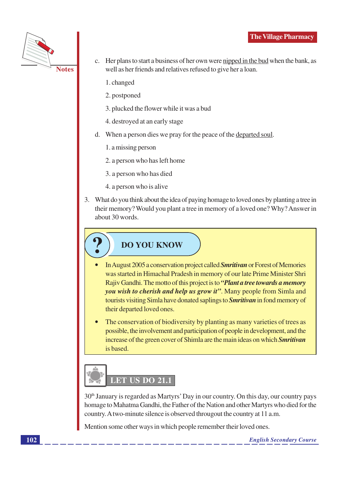

- c. Her plans to start a business of her own were nipped in the bud when the bank, as well as her friends and relatives refused to give her a loan.
	- 1. changed
	- 2. postponed
	- 3. plucked the flower while it was a bud
	- 4. destroyed at an early stage
- d. When a person dies we pray for the peace of the departed soul.
	- 1. a missing person
	- 2. a person who has left home
	- 3. a person who has died
	- 4. a person who is alive
- 3. What do you think about the idea of paying homage to loved ones by planting a tree in their memory? Would you plant a tree in memory of a loved one? Why? Answer in about 30 words.

## **DO YOU KNOW**

- In August 2005 a conservation project called **Smritivan** or Forest of Memories was started in Himachal Pradesh in memory of our late Prime Minister Shri Rajiv Gandhi. The motto of this project is to "Plant a tree towards a memory" you wish to cherish and help us grow it". Many people from Simla and tourists visiting Simla have donated saplings to **Smritivan** in fond memory of their departed loved ones.
- The conservation of biodiversity by planting as many varieties of trees as possible, the involvement and participation of people in development, and the increase of the green cover of Shimla are the main ideas on which Smritivan is based.

# LET US DO 21.1

30<sup>th</sup> January is regarded as Martyrs' Day in our country. On this day, our country pays homage to Mahatma Gandhi, the Father of the Nation and other Martyrs who died for the country. A two-minute silence is observed througout the country at 11 a.m.

Mention some other ways in which people remember their loved ones.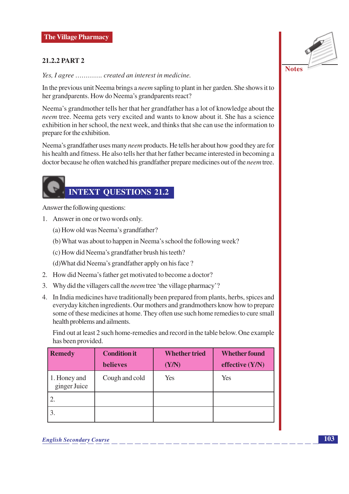#### **21.2.2 PART 2**

Yes, I agree ............. created an interest in medicine.

In the previous unit Neema brings a *neem* sapling to plant in her garden. She shows it to her grandparents. How do Neema's grandparents react?

Neema's grandmother tells her that her grandfather has a lot of knowledge about the neem tree. Neema gets very excited and wants to know about it. She has a science exhibition in her school, the next week, and thinks that she can use the information to prepare for the exhibition.

Neema's grandfather uses many *neem* products. He tells her about how good they are for his health and fitness. He also tells her that her father became interested in becoming a doctor because he often watched his grandfather prepare medicines out of the *neem* tree.

## **INTEXT QUESTIONS 21.2**

Answer the following questions:

- 1. Answer in one or two words only.
	- (a) How old was Neema's grandfather?
	- (b) What was about to happen in Neema's school the following week?
	- (c) How did Neema's grandfather brush his teeth?

(d) What did Neema's grandfather apply on his face?

- 2. How did Neema's father get motivated to become a doctor?
- 3. Why did the villagers call the *neem* tree 'the village pharmacy'?
- 4. In India medicines have traditionally been prepared from plants, herbs, spices and everyday kitchen ingredients. Our mothers and grandmothers know how to prepare some of these medicines at home. They often use such home remedies to cure small health problems and ailments.

Find out at least 2 such home-remedies and record in the table below. One example has been provided.

| <b>Remedy</b>                | <b>Condition it</b> | <b>Whether tried</b> | <b>Whether found</b> |  |
|------------------------------|---------------------|----------------------|----------------------|--|
|                              | <b>believes</b>     | (Y/N)                | effective $(Y/N)$    |  |
| 1. Honey and<br>ginger Juice | Cough and cold      | Yes                  | Yes                  |  |
|                              |                     |                      |                      |  |
|                              |                     |                      |                      |  |

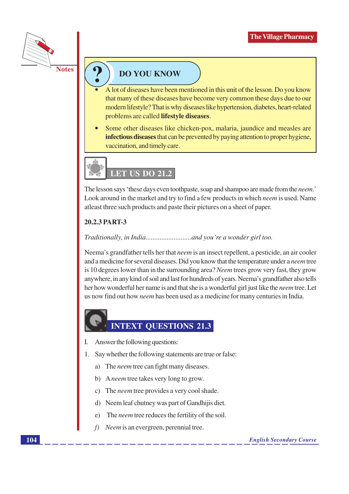

#### **DO YOU KNOW**

- A lot of diseases have been mentioned in this unit of the lesson. Do you know that many of these diseases have become very common these days due to our modern lifestyle? That is why diseases like hypertension, diabetes, heart-related problems are called lifestyle diseases.
- Some other diseases like chicken-pox, malaria, jaundice and measles are infectious diseases that can be prevented by paying attention to proper hygiene, vaccination, and timely care.



The lesson says 'these days even toothpaste, soap and shampoo are made from the *neem*.' Look around in the market and try to find a few products in which *neem* is used. Name at least three such products and paste their pictures on a sheet of paper.

#### 20.2.3 PART-3

#### 

Neema's grandfather tells her that *neem* is an insect repellent, a pesticide, an air cooler and a medicine for several diseases. Did you know that the temperature under a *neem* tree is 10 degrees lower than in the surrounding area? Neem trees grow very fast, they grow anywhere, in any kind of soil and last for hundreds of years. Neema's grandfather also tells her how wonderful her name is and that she is a wonderful girl just like the *neem* tree. Let us now find out how *neem* has been used as a medicine for many centuries in India.

### **INTEXT QUESTIONS 21.3**

- $\mathbf{I}$ . Answer the following questions:
- 1. Say whether the following statements are true or false:
	- a) The *neem* tree can fight many diseases.
	- b) A neem tree takes very long to grow.
	- c) The *neem* tree provides a very cool shade.
	- d) Neem leaf chutney was part of Gandhijis diet.
	- The *neem* tree reduces the fertility of the soil.  $\epsilon$ )
	- $f$ ) Neem is an evergreen, perennial tree.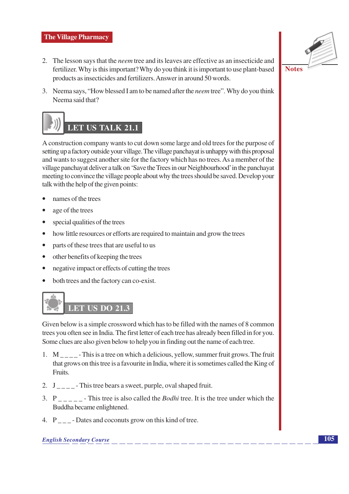#### **The Village Pharmacy**

- 2. The lesson says that the *neem* tree and its leaves are effective as an insecticide and fertilizer. Why is this important? Why do you think it is important to use plant-based products as insecticides and fertilizers. Answer in around 50 words.
- 3. Neema says, "How blessed I am to be named after the *neem* tree". Why do you think Neema said that?



A construction company wants to cut down some large and old trees for the purpose of setting up a factory outside your village. The village panchayat is unhappy with this proposal and wants to suggest another site for the factory which has no trees. As a member of the village panchayat deliver a talk on 'Save the Trees in our Neighbourhood' in the panchayat meeting to convince the village people about why the trees should be saved. Develop your talk with the help of the given points:

- names of the trees
- age of the trees
- special qualities of the trees  $\bullet$
- $\bullet$ how little resources or efforts are required to maintain and grow the trees
- parts of these trees that are useful to us  $\bullet$
- other benefits of keeping the trees  $\bullet$
- negative impact or effects of cutting the trees  $\bullet$
- both trees and the factory can co-exist.  $\bullet$



Given below is a simple crossword which has to be filled with the names of 8 common trees you often see in India. The first letter of each tree has already been filled in for you. Some clues are also given below to help you in finding out the name of each tree.

- 1.  $M_{\text{max}}$  This is a tree on which a delicious, yellow, summer fruit grows. The fruit that grows on this tree is a favourite in India, where it is sometimes called the King of Fruits.
- 2.  $J_{\text{---}}$ -This tree bears a sweet, purple, oval shaped fruit.
- 3.  $P_{\text{2}}$  This tree is also called the *Bodhi* tree. It is the tree under which the Buddha became enlightened.
- 4. P Dates and coconuts grow on this kind of tree.

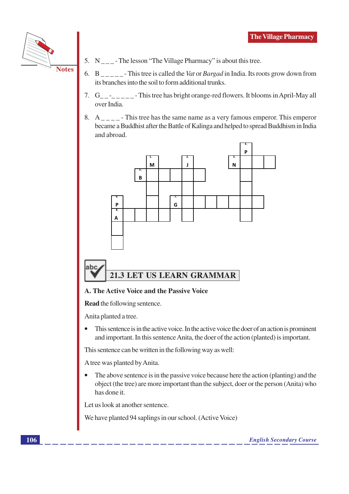

- 5.  $N_{\text{max}}$ -The lesson "The Village Pharmacy" is about this tree.
- 6.  $B_{\text{2}}$  This tree is called the Vat or *Bargad* in India. Its roots grow down from its branches into the soil to form additional trunks.
- 7. G\_\_\_\_\_\_\_\_\_-This tree has bright orange-red flowers. It blooms in April-May all over India
- 8.  $A_{\text{---}}$  This tree has the same name as a very famous emperor. This emperor became a Buddhist after the Battle of Kalinga and helped to spread Buddhism in India and abroad.



#### A. The Active Voice and the Passive Voice

**Read** the following sentence.

Anita planted a tree.

This sentence is in the active voice. In the active voice the doer of an action is prominent  $\bullet$ and important. In this sentence Anita, the doer of the action (planted) is important.

This sentence can be written in the following way as well:

A tree was planted by Anita.

The above sentence is in the passive voice because here the action (planting) and the object (the tree) are more important than the subject, doer or the person (Anita) who has done it.

Let us look at another sentence.

We have planted 94 saplings in our school. (Active Voice)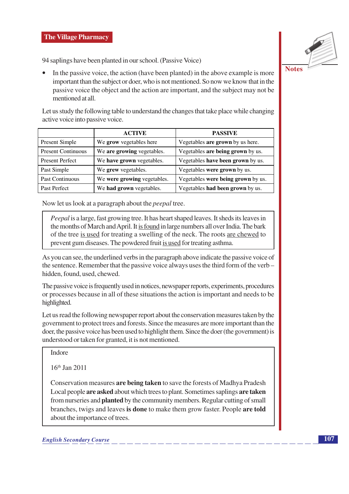

94 saplings have been planted in our school. (Passive Voice)

In the passive voice, the action (have been planted) in the above example is more important than the subject or doer, who is not mentioned. So now we know that in the passive voice the object and the action are important, and the subject may not be mentioned at all.

Let us study the following table to understand the changes that take place while changing active voice into passive voice.

|                           | <b>ACTIVE</b>               | <b>PASSIVE</b>                     |
|---------------------------|-----------------------------|------------------------------------|
| Present Simple            | We grow vegetables here     | Vegetables are grown by us here.   |
| <b>Present Continuous</b> | We are growing vegetables.  | Vegetables are being grown by us.  |
| <b>Present Perfect</b>    | We have grown vegetables.   | Vegetables have been grown by us.  |
| Past Simple               | We grew vegetables.         | Vegetables were grown by us.       |
| Past Continuous           | We were growing vegetables. | Vegetables were being grown by us. |
| Past Perfect              | We had grown vegetables.    | Vegetables had been grown by us.   |

Now let us look at a paragraph about the *peepal* tree.

*Peepal* is a large, fast growing tree. It has heart shaped leaves. It sheds its leaves in the months of March and April. It is found in large numbers all over India. The bark of the tree is used for treating a swelling of the neck. The roots are chewed to prevent gum diseases. The powdered fruit is used for treating asthma.

As you can see, the underlined verbs in the paragraph above indicate the passive voice of the sentence. Remember that the passive voice always uses the third form of the verb – hidden, found, used, chewed.

The passive voice is frequently used in notices, newspaper reports, experiments, procedures or processes because in all of these situations the action is important and needs to be highlighted.

Let us read the following newspaper report about the conservation measures taken by the government to protect trees and forests. Since the measures are more important than the doer, the passive voice has been used to highlight them. Since the doer (the government) is understood or taken for granted, it is not mentioned.

Indore

 $16<sup>th</sup>$  Jan 2011

Conservation measures are being taken to save the forests of Madhya Pradesh Local people are asked about which trees to plant. Sometimes saplings are taken from nurseries and **planted** by the community members. Regular cutting of small branches, twigs and leaves is done to make them grow faster. People are told about the importance of trees.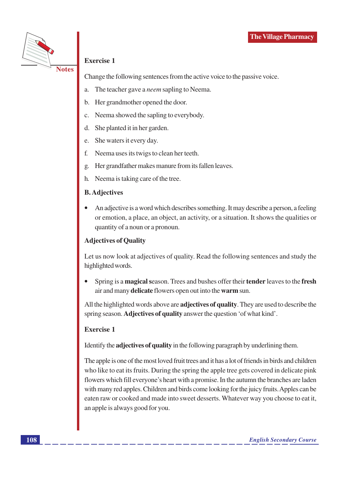

#### **Exercise 1**

Change the following sentences from the active voice to the passive voice.

- The teacher gave a *neem* sapling to Neema. a.
- Her grandmother opened the door. b.
- Neema showed the sapling to everybody.  $\mathbf{C}$ .
- She planted it in her garden. d.
- She waters it every day. e.
- Neema uses its twigs to clean her teeth.  $f_{\cdot}$
- Her grandfather makes manure from its fallen leaves. g.
- Neema is taking care of the tree. h.

#### **B.** Adjectives

An adjective is a word which describes something. It may describe a person, a feeling or emotion, a place, an object, an activity, or a situation. It shows the qualities or quantity of a noun or a pronoun.

#### **Adjectives of Quality**

Let us now look at adjectives of quality. Read the following sentences and study the highlighted words.

Spring is a **magical** season. Trees and bushes offer their **tender** leaves to the fresh air and many delicate flowers open out into the warm sun.

All the highlighted words above are **adjectives of quality**. They are used to describe the spring season. Adjectives of quality answer the question 'of what kind'.

#### **Exercise 1**

Identify the **adjectives of quality** in the following paragraph by underlining them.

The apple is one of the most loved fruit trees and it has a lot of friends in birds and children who like to eat its fruits. During the spring the apple tree gets covered in delicate pink flowers which fill everyone's heart with a promise. In the autumn the branches are laden with many red apples. Children and birds come looking for the juicy fruits. Apples can be eaten raw or cooked and made into sweet desserts. Whatever way you choose to eat it, an apple is always good for you.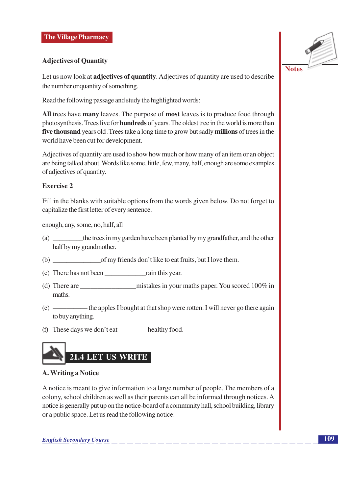#### **Adjectives of Quantity**

Let us now look at adjectives of quantity. Adjectives of quantity are used to describe the number or quantity of something.

Read the following passage and study the highlighted words:

All trees have many leaves. The purpose of most leaves is to produce food through photosynthesis. Trees live for **hundreds** of years. The oldest tree in the world is more than five thousand years old. Trees take a long time to grow but sadly millions of trees in the world have been cut for development.

Adjectives of quantity are used to show how much or how many of an item or an object are being talked about. Words like some, little, few, many, half, enough are some examples of adjectives of quantity.

#### **Exercise 2**

Fill in the blanks with suitable options from the words given below. Do not forget to capitalize the first letter of every sentence.

enough, any, some, no, half, all

- (a) the trees in my garden have been planted by my grandfather, and the other half by my grandmother.
- (b) of my friends don't like to eat fruits, but I love them.
- (c) There has not been rain this year.
- (d) There are  $m$  is takes in your maths paper. You scored 100% in maths.
- the apples I bought at that shop were rotten. I will never go there again  $(e)$  to buy anything.
- 



#### A. Writing a Notice

A notice is meant to give information to a large number of people. The members of a colony, school children as well as their parents can all be informed through notices. A notice is generally put up on the notice-board of a community hall, school building, library or a public space. Let us read the following notice:

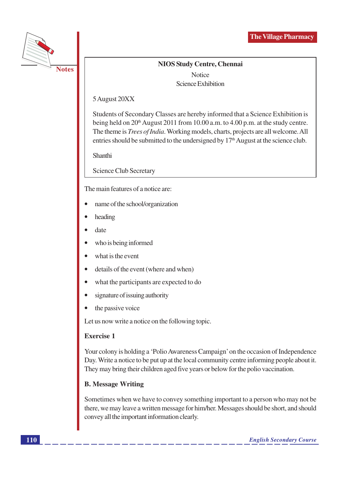

**NIOS Study Centre, Chennai Notice** Science Exhibition

5 August 20XX

Students of Secondary Classes are hereby informed that a Science Exhibition is being held on 20<sup>th</sup> August 2011 from 10.00 a.m. to 4.00 p.m. at the study centre. The theme is *Trees of India*. Working models, charts, projects are all welcome. All entries should be submitted to the undersigned by  $17<sup>th</sup>$  August at the science club.

Shanthi

**Science Club Secretary** 

The main features of a notice are:

- name of the school/organization
- heading
- date
- who is being informed
- what is the event
- details of the event (where and when)  $\bullet$
- what the participants are expected to do  $\bullet$
- signature of issuing authority  $\bullet$
- the passive voice  $\bullet$

Let us now write a notice on the following topic.

#### **Exercise 1**

Your colony is holding a 'Polio Awareness Campaign' on the occasion of Independence Day. Write a notice to be put up at the local community centre informing people about it. They may bring their children aged five years or below for the polio vaccination.

#### **B. Message Writing**

Sometimes when we have to convey something important to a person who may not be there, we may leave a written message for him/her. Messages should be short, and should convey all the important information clearly.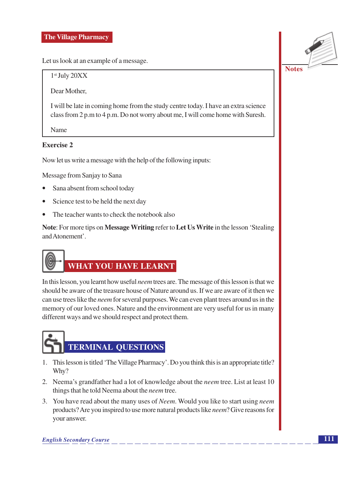#### **The Village Pharmacy**

Let us look at an example of a message.

 $1<sup>st</sup>$  July 20XX

Dear Mother,

I will be late in coming home from the study centre today. I have an extra science class from 2 p.m to 4 p.m. Do not worry about me, I will come home with Suresh.

Name

#### **Exercise 2**

Now let us write a message with the help of the following inputs:

Message from Sanjay to Sana

- $\bullet$ Sana absent from school today
- $\bullet$ Science test to be held the next day
- The teacher wants to check the notebook also

Note: For more tips on Message Writing refer to Let Us Write in the lesson 'Stealing and Atonement'



In this lesson, you learnt how useful *neem* trees are. The message of this lesson is that we should be aware of the treasure house of Nature around us. If we are aware of it then we can use trees like the *neem* for several purposes. We can even plant trees around us in the memory of our loved ones. Nature and the environment are very useful for us in many different ways and we should respect and protect them.



- 1. This lesson is titled 'The Village Pharmacy'. Do you think this is an appropriate title? Why?
- 2. Neema's grandfather had a lot of knowledge about the *neem* tree. List at least 10 things that he told Neema about the *neem* tree.
- 3. You have read about the many uses of *Neem*. Would you like to start using *neem* products? Are you inspired to use more natural products like *neem*? Give reasons for your answer.

**English Secondary Course** 

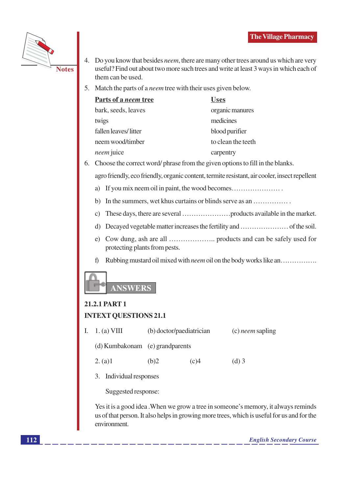

- 4. Do you know that besides *neem*, there are many other trees around us which are very useful? Find out about two more such trees and write at least 3 ways in which each of them can be used.
- 5. Match the parts of a *neem* tree with their uses given below.

| Parts of a <i>neem</i> tree | <b>Uses</b>        |
|-----------------------------|--------------------|
| bark, seeds, leaves         | organic manures    |
| twigs                       | medicines          |
| fallen leaves/litter        | blood purifier     |
| neem wood/timber            | to clean the teeth |
| <i>neem</i> juice           | carpentry          |

6. Choose the correct word/phrase from the given options to fill in the blanks.

agro friendly, eco friendly, organic content, termite resistant, air cooler, insect repellent

- a) If you mix neem oil in paint, the wood becomes................................
- b) In the summers, wet khus curtains or blinds serve as an ...............
- 
- 
- protecting plants from pests.
- $f$ Rubbing mustard oil mixed with *neem* oil on the body works like an..............



## 21.2.1 PART 1

#### **INTEXT QUESTIONS 21.1**

| 1. (a) VIII                     | (b) doctor/paediatrician | $(c)$ <i>neem</i> sapling |         |
|---------------------------------|--------------------------|---------------------------|---------|
| (d) Kumbakonam (e) grandparents |                          |                           |         |
| 2. (a)1                         | (b)2                     | (c)4                      | $(d)$ 3 |

3. Individual responses

Suggested response:

Yes it is a good idea. When we grow a tree in someone's memory, it always reminds us of that person. It also helps in growing more trees, which is useful for us and for the environment.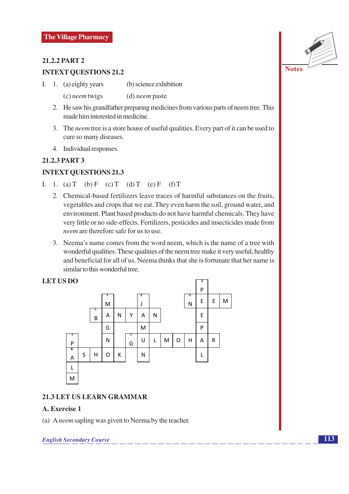#### **21.2.2 PART 2**

#### **INTEXT QUESTIONS 21.2**

- (b) science exhibition I. 1. (a) eighty years
	- $(c)$  neem twigs  $(d)$  neem paste
	- 2. He saw his grandfather preparing medicines from various parts of neem tree. This made him interested in medicine.
	- 3. The *neem* tree is a store house of useful qualities. Every part of it can be used to cure so many diseases.
	- 4. Individual responses.

#### 21.2.3 PART 3

#### **INTEXT QUESTIONS 21.3**

- I. 1. (a) T (b) F (c) T (d) T (e) F (f) T
	- 2. Chemical-based fertilizers leave traces of harmful substances on the fruits. vegetables and crops that we eat. They even harm the soil, ground water, and environment. Plant based products do not have harmful chemicals. They have very little or no side-effects. Fertilizers, pesticides and insecticides made from neem are therefore safe for us to use
	- 3. Neema's name comes from the word neem, which is the name of a tree with wonderful qualities. These qualities of the neem tree make it very useful, healthy and beneficial for all of us. Neema thinks that she is fortunate that her name is similar to this wonderful tree.

#### **LET US DO**



#### 21.3 LET US LEARN GRAMMAR

#### A. Exercise 1

(a) Aneem sapling was given to Neema by the teacher.

**English Secondary Course**